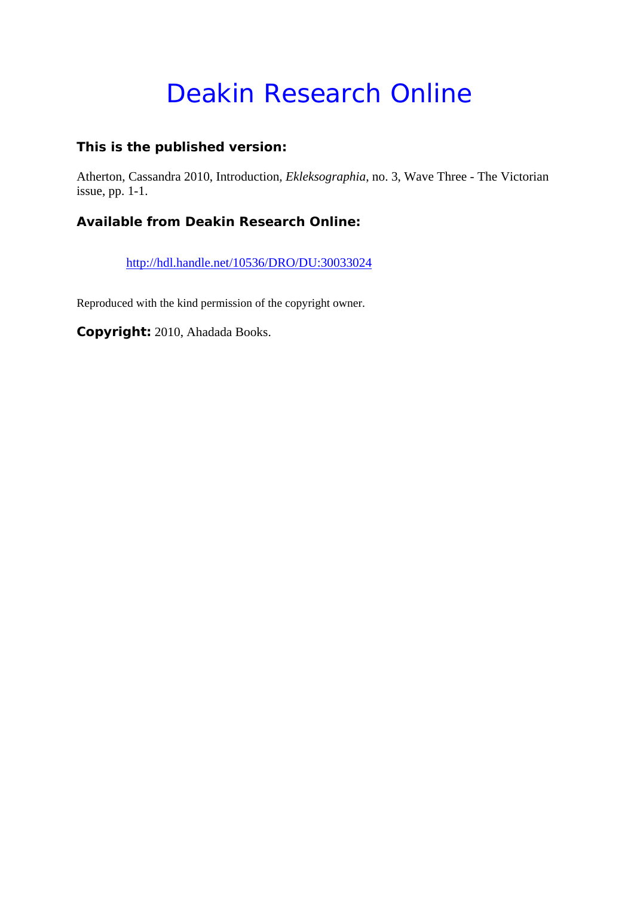# Deakin Research Online

#### **This is the published version:**

Atherton, Cassandra 2010, Introduction*, Ekleksographia*, no. 3, Wave Three - The Victorian issue, pp. 1-1.

### **Available from Deakin Research Online:**

http://hdl.handle.net/10536/DRO/DU:30033024

Reproduced with the kind permission of the copyright owner.

**Copyright:** 2010, Ahadada Books.